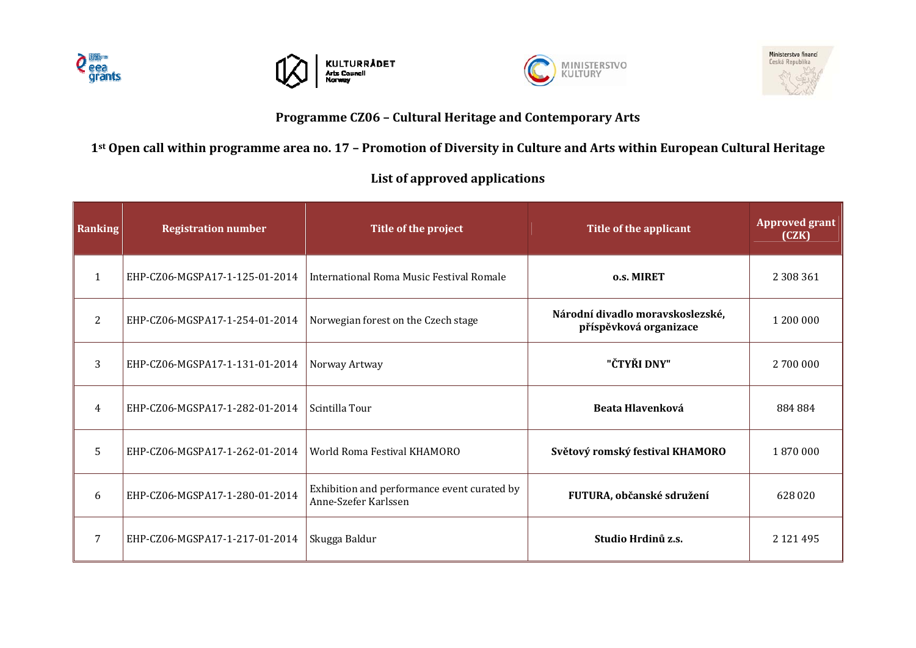







## **Programme CZ06 – Cultural Heritage and Contemporary Arts**

## 1st Open call within programme area no. 17 - Promotion of Diversity in Culture and Arts within European Cultural Heritage

## **List of approved applications**

| Ranking      | <b>Registration number</b>     | Title of the project                                                | Title of the applicant                                     | <b>Approved grant</b><br>(CZK) |
|--------------|--------------------------------|---------------------------------------------------------------------|------------------------------------------------------------|--------------------------------|
| $\mathbf{1}$ | EHP-CZ06-MGSPA17-1-125-01-2014 | <b>International Roma Music Festival Romale</b>                     | o.s. MIRET                                                 | 2 308 361                      |
| 2            | EHP-CZ06-MGSPA17-1-254-01-2014 | Norwegian forest on the Czech stage                                 | Národní divadlo moravskoslezské,<br>příspěvková organizace | 1 200 000                      |
| 3            | EHP-CZ06-MGSPA17-1-131-01-2014 | Norway Artway                                                       | "ČTYŘI DNY"                                                | 2 700 000                      |
| 4            | EHP-CZ06-MGSPA17-1-282-01-2014 | Scintilla Tour                                                      | Beata Hlavenková                                           | 884 884                        |
| 5            | EHP-CZ06-MGSPA17-1-262-01-2014 | World Roma Festival KHAMORO                                         | Světový romský festival KHAMORO                            | 1870000                        |
| 6            | EHP-CZ06-MGSPA17-1-280-01-2014 | Exhibition and performance event curated by<br>Anne-Szefer Karlssen | FUTURA, občanské sdružení                                  | 628 020                        |
| 7            | EHP-CZ06-MGSPA17-1-217-01-2014 | Skugga Baldur                                                       | Studio Hrdinů z.s.                                         | 2 121 495                      |